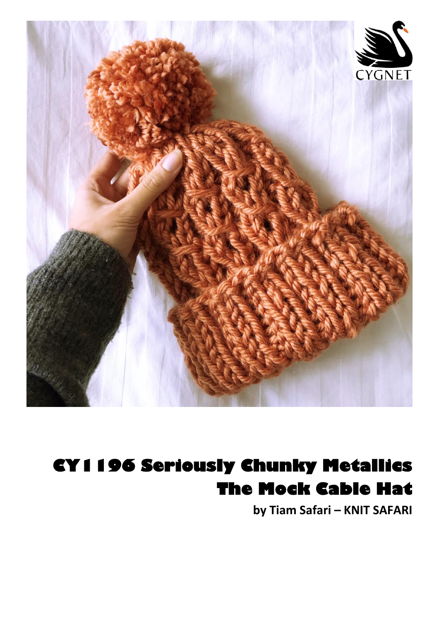

## CY1196 Seriously Chunky Metallics **The Mock Cable Hat**

by Tiam Safari - KNIT SAFARI